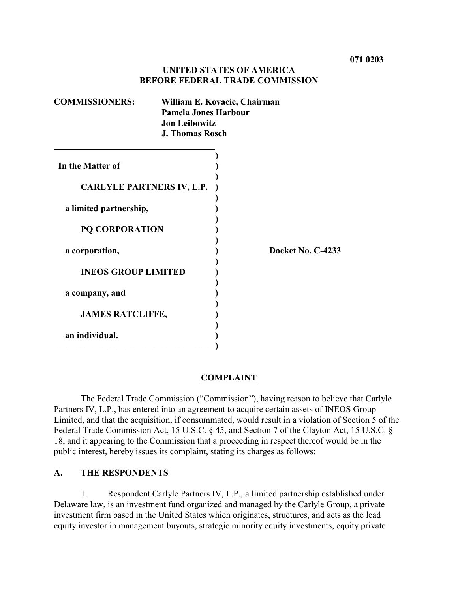## **UNITED STATES OF AMERICA BEFORE FEDERAL TRADE COMMISSION**

| <b>COMMISSIONERS:</b>            | William E. Kovacic, Chairman<br><b>Pamela Jones Harbour</b><br><b>Jon Leibowitz</b><br><b>J. Thomas Rosch</b> |  |
|----------------------------------|---------------------------------------------------------------------------------------------------------------|--|
| In the Matter of                 |                                                                                                               |  |
| <b>CARLYLE PARTNERS IV, L.P.</b> |                                                                                                               |  |
| a limited partnership,           |                                                                                                               |  |
| <b>PQ CORPORATION</b>            |                                                                                                               |  |
| a corporation,                   | Docket No. C-4233                                                                                             |  |
| <b>INEOS GROUP LIMITED</b>       |                                                                                                               |  |
| a company, and                   |                                                                                                               |  |
| <b>JAMES RATCLIFFE,</b>          |                                                                                                               |  |
| an individual.                   |                                                                                                               |  |
|                                  |                                                                                                               |  |

#### **COMPLAINT**

The Federal Trade Commission ("Commission"), having reason to believe that Carlyle Partners IV, L.P., has entered into an agreement to acquire certain assets of INEOS Group Limited, and that the acquisition, if consummated, would result in a violation of Section 5 of the Federal Trade Commission Act, 15 U.S.C. § 45, and Section 7 of the Clayton Act, 15 U.S.C. § 18, and it appearing to the Commission that a proceeding in respect thereof would be in the public interest, hereby issues its complaint, stating its charges as follows:

### **A. THE RESPONDENTS**

1. Respondent Carlyle Partners IV, L.P., a limited partnership established under Delaware law, is an investment fund organized and managed by the Carlyle Group, a private investment firm based in the United States which originates, structures, and acts as the lead equity investor in management buyouts, strategic minority equity investments, equity private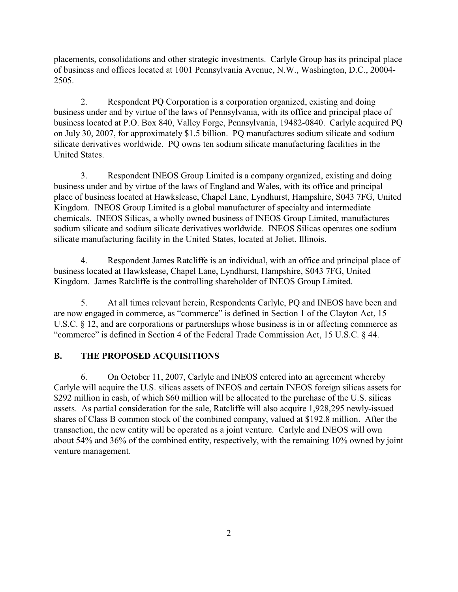placements, consolidations and other strategic investments. Carlyle Group has its principal place of business and offices located at 1001 Pennsylvania Avenue, N.W., Washington, D.C., 20004- 2505.

2. Respondent PQ Corporation is a corporation organized, existing and doing business under and by virtue of the laws of Pennsylvania, with its office and principal place of business located at P.O. Box 840, Valley Forge, Pennsylvania, 19482-0840. Carlyle acquired PQ on July 30, 2007, for approximately \$1.5 billion. PQ manufactures sodium silicate and sodium silicate derivatives worldwide. PQ owns ten sodium silicate manufacturing facilities in the United States.

3. Respondent INEOS Group Limited is a company organized, existing and doing business under and by virtue of the laws of England and Wales, with its office and principal place of business located at Hawkslease, Chapel Lane, Lyndhurst, Hampshire, S043 7FG, United Kingdom. INEOS Group Limited is a global manufacturer of specialty and intermediate chemicals. INEOS Silicas, a wholly owned business of INEOS Group Limited, manufactures sodium silicate and sodium silicate derivatives worldwide. INEOS Silicas operates one sodium silicate manufacturing facility in the United States, located at Joliet, Illinois.

4. Respondent James Ratcliffe is an individual, with an office and principal place of business located at Hawkslease, Chapel Lane, Lyndhurst, Hampshire, S043 7FG, United Kingdom. James Ratcliffe is the controlling shareholder of INEOS Group Limited.

5. At all times relevant herein, Respondents Carlyle, PQ and INEOS have been and are now engaged in commerce, as "commerce" is defined in Section 1 of the Clayton Act, 15 U.S.C. § 12, and are corporations or partnerships whose business is in or affecting commerce as "commerce" is defined in Section 4 of the Federal Trade Commission Act, 15 U.S.C. § 44.

# **B. THE PROPOSED ACQUISITIONS**

6. On October 11, 2007, Carlyle and INEOS entered into an agreement whereby Carlyle will acquire the U.S. silicas assets of INEOS and certain INEOS foreign silicas assets for \$292 million in cash, of which \$60 million will be allocated to the purchase of the U.S. silicas assets. As partial consideration for the sale, Ratcliffe will also acquire 1,928,295 newly-issued shares of Class B common stock of the combined company, valued at \$192.8 million. After the transaction, the new entity will be operated as a joint venture. Carlyle and INEOS will own about 54% and 36% of the combined entity, respectively, with the remaining 10% owned by joint venture management.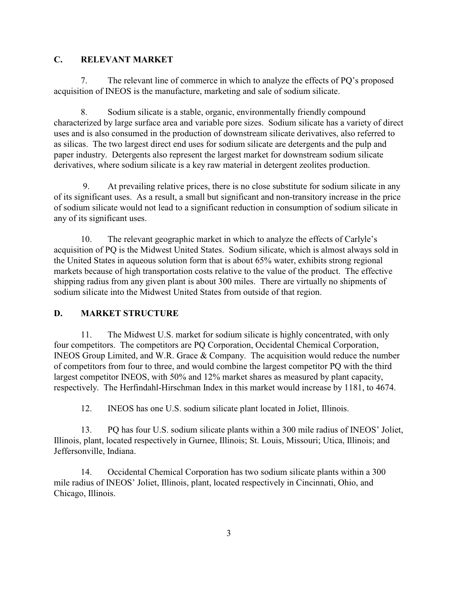# **C. RELEVANT MARKET**

7. The relevant line of commerce in which to analyze the effects of PQ's proposed acquisition of INEOS is the manufacture, marketing and sale of sodium silicate.

8. Sodium silicate is a stable, organic, environmentally friendly compound characterized by large surface area and variable pore sizes. Sodium silicate has a variety of direct uses and is also consumed in the production of downstream silicate derivatives, also referred to as silicas. The two largest direct end uses for sodium silicate are detergents and the pulp and paper industry. Detergents also represent the largest market for downstream sodium silicate derivatives, where sodium silicate is a key raw material in detergent zeolites production.

 9. At prevailing relative prices, there is no close substitute for sodium silicate in any of its significant uses. As a result, a small but significant and non-transitory increase in the price of sodium silicate would not lead to a significant reduction in consumption of sodium silicate in any of its significant uses.

10. The relevant geographic market in which to analyze the effects of Carlyle's acquisition of PQ is the Midwest United States. Sodium silicate, which is almost always sold in the United States in aqueous solution form that is about 65% water, exhibits strong regional markets because of high transportation costs relative to the value of the product. The effective shipping radius from any given plant is about 300 miles. There are virtually no shipments of sodium silicate into the Midwest United States from outside of that region.

#### **D. MARKET STRUCTURE**

11. The Midwest U.S. market for sodium silicate is highly concentrated, with only four competitors. The competitors are PQ Corporation, Occidental Chemical Corporation, INEOS Group Limited, and W.R. Grace & Company. The acquisition would reduce the number of competitors from four to three, and would combine the largest competitor PQ with the third largest competitor INEOS, with 50% and 12% market shares as measured by plant capacity, respectively. The Herfindahl-Hirschman Index in this market would increase by 1181, to 4674.

12. INEOS has one U.S. sodium silicate plant located in Joliet, Illinois.

13. PQ has four U.S. sodium silicate plants within a 300 mile radius of INEOS' Joliet, Illinois, plant, located respectively in Gurnee, Illinois; St. Louis, Missouri; Utica, Illinois; and Jeffersonville, Indiana.

14. Occidental Chemical Corporation has two sodium silicate plants within a 300 mile radius of INEOS' Joliet, Illinois, plant, located respectively in Cincinnati, Ohio, and Chicago, Illinois.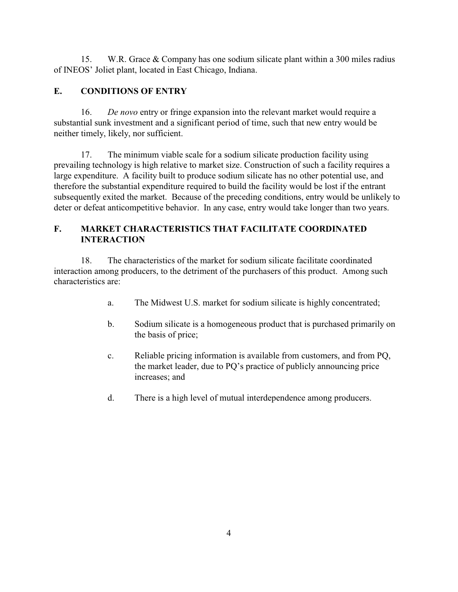15. W.R. Grace & Company has one sodium silicate plant within a 300 miles radius of INEOS' Joliet plant, located in East Chicago, Indiana.

# **E. CONDITIONS OF ENTRY**

16. *De novo* entry or fringe expansion into the relevant market would require a substantial sunk investment and a significant period of time, such that new entry would be neither timely, likely, nor sufficient.

17. The minimum viable scale for a sodium silicate production facility using prevailing technology is high relative to market size. Construction of such a facility requires a large expenditure. A facility built to produce sodium silicate has no other potential use, and therefore the substantial expenditure required to build the facility would be lost if the entrant subsequently exited the market. Because of the preceding conditions, entry would be unlikely to deter or defeat anticompetitive behavior. In any case, entry would take longer than two years.

# **F. MARKET CHARACTERISTICS THAT FACILITATE COORDINATED INTERACTION**

18. The characteristics of the market for sodium silicate facilitate coordinated interaction among producers, to the detriment of the purchasers of this product. Among such characteristics are:

- a. The Midwest U.S. market for sodium silicate is highly concentrated;
- b. Sodium silicate is a homogeneous product that is purchased primarily on the basis of price;
- c. Reliable pricing information is available from customers, and from PQ, the market leader, due to PQ's practice of publicly announcing price increases; and
- d. There is a high level of mutual interdependence among producers.